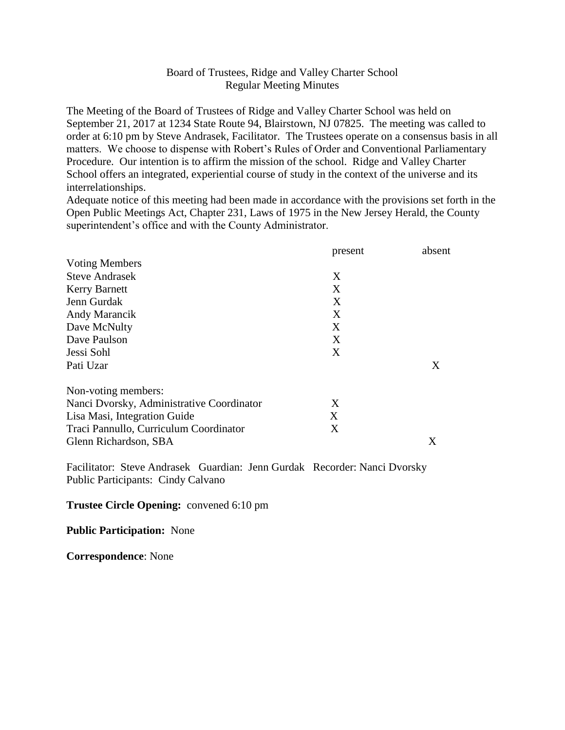## Board of Trustees, Ridge and Valley Charter School Regular Meeting Minutes

The Meeting of the Board of Trustees of Ridge and Valley Charter School was held on September 21, 2017 at 1234 State Route 94, Blairstown, NJ 07825. The meeting was called to order at 6:10 pm by Steve Andrasek, Facilitator. The Trustees operate on a consensus basis in all matters. We choose to dispense with Robert's Rules of Order and Conventional Parliamentary Procedure. Our intention is to affirm the mission of the school. Ridge and Valley Charter School offers an integrated, experiential course of study in the context of the universe and its interrelationships.

Adequate notice of this meeting had been made in accordance with the provisions set forth in the Open Public Meetings Act, Chapter 231, Laws of 1975 in the New Jersey Herald, the County superintendent's office and with the County Administrator.

|                                           | present | absent |
|-------------------------------------------|---------|--------|
| <b>Voting Members</b>                     |         |        |
| <b>Steve Andrasek</b>                     | X       |        |
| <b>Kerry Barnett</b>                      | X       |        |
| Jenn Gurdak                               | X       |        |
| Andy Marancik                             | X       |        |
| Dave McNulty                              | X       |        |
| Dave Paulson                              | X       |        |
| Jessi Sohl                                | X       |        |
| Pati Uzar                                 |         | X      |
| Non-voting members:                       |         |        |
| Nanci Dvorsky, Administrative Coordinator | X       |        |
| Lisa Masi, Integration Guide              | X       |        |
| Traci Pannullo, Curriculum Coordinator    | X       |        |
| Glenn Richardson, SBA                     |         | X      |

Facilitator: Steve Andrasek Guardian: Jenn Gurdak Recorder: Nanci Dvorsky Public Participants: Cindy Calvano

## **Trustee Circle Opening:** convened 6:10 pm

**Public Participation:** None

**Correspondence**: None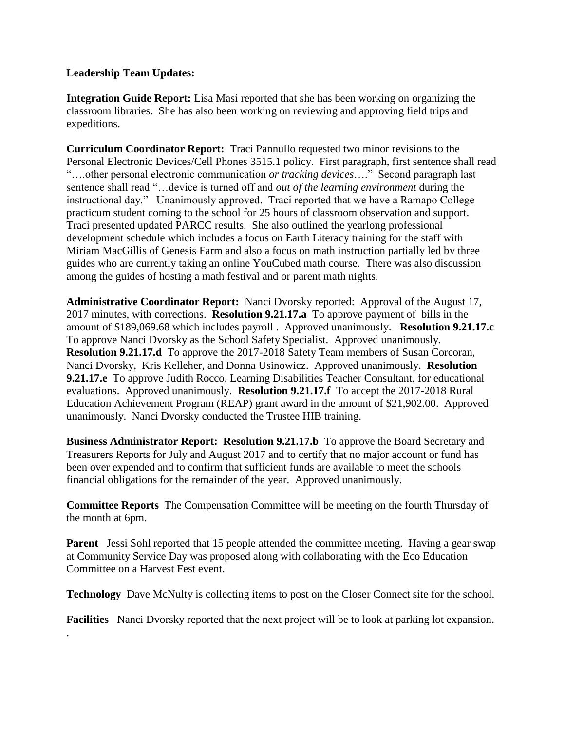## **Leadership Team Updates:**

.

**Integration Guide Report:** Lisa Masi reported that she has been working on organizing the classroom libraries. She has also been working on reviewing and approving field trips and expeditions.

**Curriculum Coordinator Report:** Traci Pannullo requested two minor revisions to the Personal Electronic Devices/Cell Phones 3515.1 policy. First paragraph, first sentence shall read "….other personal electronic communication *or tracking devices*…." Second paragraph last sentence shall read "…device is turned off and *out of the learning environment* during the instructional day." Unanimously approved. Traci reported that we have a Ramapo College practicum student coming to the school for 25 hours of classroom observation and support. Traci presented updated PARCC results. She also outlined the yearlong professional development schedule which includes a focus on Earth Literacy training for the staff with Miriam MacGillis of Genesis Farm and also a focus on math instruction partially led by three guides who are currently taking an online YouCubed math course. There was also discussion among the guides of hosting a math festival and or parent math nights.

**Administrative Coordinator Report:** Nanci Dvorsky reported: Approval of the August 17, 2017 minutes, with corrections. **Resolution 9.21.17.a** To approve payment of bills in the amount of \$189,069.68 which includes payroll . Approved unanimously. **Resolution 9.21.17.c**  To approve Nanci Dvorsky as the School Safety Specialist. Approved unanimously. **Resolution 9.21.17.d** To approve the 2017-2018 Safety Team members of Susan Corcoran, Nanci Dvorsky, Kris Kelleher, and Donna Usinowicz. Approved unanimously. **Resolution 9.21.17.e** To approve Judith Rocco, Learning Disabilities Teacher Consultant, for educational evaluations. Approved unanimously. **Resolution 9.21.17.f** To accept the 2017-2018 Rural Education Achievement Program (REAP) grant award in the amount of \$21,902.00. Approved unanimously. Nanci Dvorsky conducted the Trustee HIB training.

**Business Administrator Report: Resolution 9.21.17.b** To approve the Board Secretary and Treasurers Reports for July and August 2017 and to certify that no major account or fund has been over expended and to confirm that sufficient funds are available to meet the schools financial obligations for the remainder of the year. Approved unanimously.

**Committee Reports** The Compensation Committee will be meeting on the fourth Thursday of the month at 6pm.

**Parent** Jessi Sohl reported that 15 people attended the committee meeting. Having a gear swap at Community Service Day was proposed along with collaborating with the Eco Education Committee on a Harvest Fest event.

**Technology** Dave McNulty is collecting items to post on the Closer Connect site for the school.

**Facilities** Nanci Dvorsky reported that the next project will be to look at parking lot expansion.